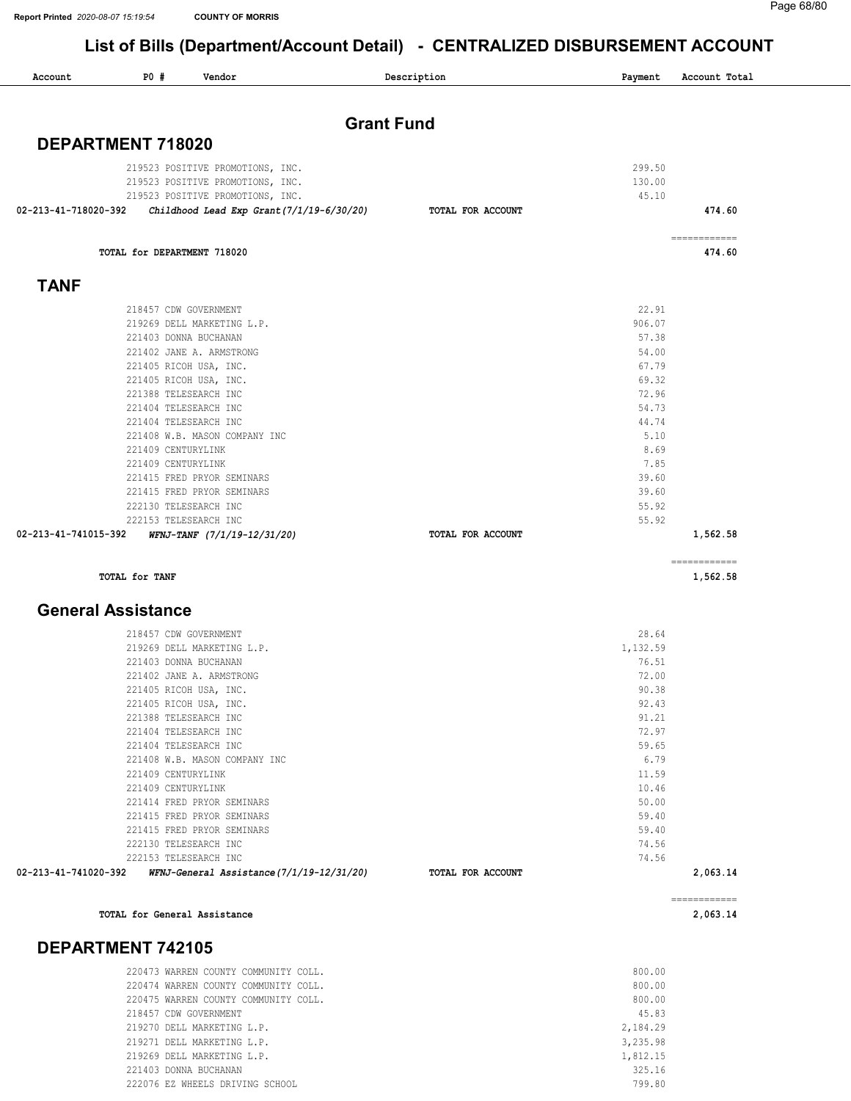$\overline{\phantom{a}}$ 

### List of Bills (Department/Account Detail) - CENTRALIZED DISBURSEMENT ACCOUNT

| <b>Grant Fund</b> |                                                                                                                                                                 |
|-------------------|-----------------------------------------------------------------------------------------------------------------------------------------------------------------|
|                   |                                                                                                                                                                 |
|                   |                                                                                                                                                                 |
|                   |                                                                                                                                                                 |
|                   | 474.60                                                                                                                                                          |
|                   |                                                                                                                                                                 |
|                   | ============<br>474.60                                                                                                                                          |
|                   |                                                                                                                                                                 |
|                   |                                                                                                                                                                 |
| 906.07            |                                                                                                                                                                 |
| 57.38             |                                                                                                                                                                 |
| 54.00             |                                                                                                                                                                 |
| 67.79             |                                                                                                                                                                 |
| 69.32             |                                                                                                                                                                 |
| 72.96             |                                                                                                                                                                 |
| 54.73             |                                                                                                                                                                 |
| 44.74             |                                                                                                                                                                 |
|                   |                                                                                                                                                                 |
|                   |                                                                                                                                                                 |
|                   |                                                                                                                                                                 |
|                   |                                                                                                                                                                 |
|                   |                                                                                                                                                                 |
| 55.92             |                                                                                                                                                                 |
| TOTAL FOR ACCOUNT | 1,562.58                                                                                                                                                        |
|                   | ============                                                                                                                                                    |
|                   | 1,562.58                                                                                                                                                        |
|                   |                                                                                                                                                                 |
| 28.64             |                                                                                                                                                                 |
| 1,132.59          |                                                                                                                                                                 |
| 76.51             |                                                                                                                                                                 |
|                   |                                                                                                                                                                 |
| 90.38             |                                                                                                                                                                 |
|                   |                                                                                                                                                                 |
|                   |                                                                                                                                                                 |
|                   |                                                                                                                                                                 |
|                   |                                                                                                                                                                 |
| 11.59             |                                                                                                                                                                 |
| 10.46             |                                                                                                                                                                 |
| 50.00             |                                                                                                                                                                 |
| 59.40             |                                                                                                                                                                 |
| 59.40             |                                                                                                                                                                 |
| 74.56             |                                                                                                                                                                 |
| 74.56             |                                                                                                                                                                 |
| TOTAL FOR ACCOUNT | 2,063.14                                                                                                                                                        |
|                   | ------------<br>2,063.14                                                                                                                                        |
|                   |                                                                                                                                                                 |
|                   | 299.50<br>130.00<br>45.10<br>TOTAL FOR ACCOUNT<br>22.91<br>5.10<br>8.69<br>7.85<br>39.60<br>39.60<br>55.92<br>72.00<br>92.43<br>91.21<br>72.97<br>59.65<br>6.79 |

# WARREN COUNTY COMMUNITY COLL. 800.00

| 220474 WARREN COUNTY COMMUNITY COLL. | 800.00   |
|--------------------------------------|----------|
| 220475 WARREN COUNTY COMMUNITY COLL. | 800.00   |
| 218457 CDW GOVERNMENT                | 45.83    |
| 219270 DELL MARKETING L.P.           | 2,184.29 |
| 219271 DELL MARKETING L.P.           | 3,235.98 |
| 219269 DELL MARKETING L.P.           | 1,812.15 |
| 221403 DONNA BUCHANAN                | 325.16   |
| 222076 EZ WHEELS DRIVING SCHOOL      | 799.80   |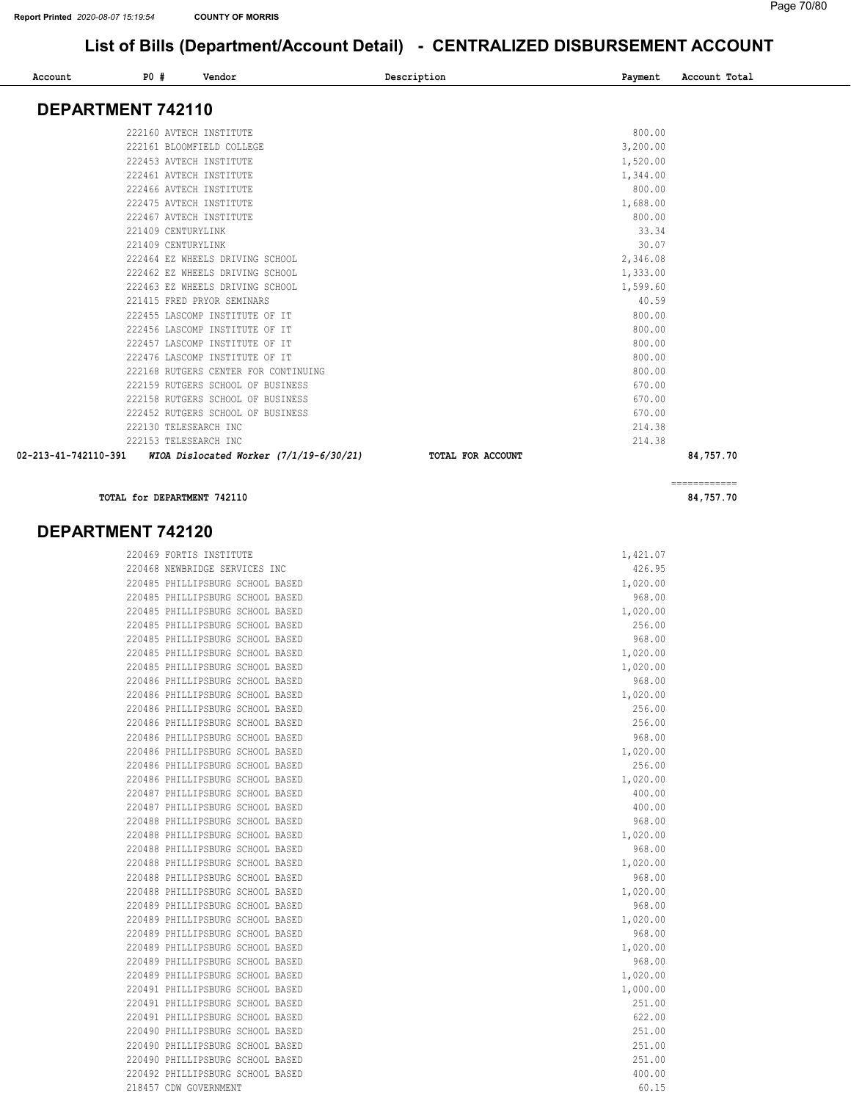#### List of Bills (Department/Account Detail) - CENTRALIZED DISBURSEMENT ACCOUNT

| Account              | P0 #               | Vendor                               |                                           | Description       | Payment  | Account Total             |
|----------------------|--------------------|--------------------------------------|-------------------------------------------|-------------------|----------|---------------------------|
|                      |                    |                                      |                                           |                   |          |                           |
| DEPARTMENT 742110    |                    |                                      |                                           |                   |          |                           |
|                      |                    | 222160 AVTECH INSTITUTE              |                                           |                   | 800.00   |                           |
|                      |                    | 222161 BLOOMFIELD COLLEGE            |                                           |                   | 3,200.00 |                           |
|                      |                    | 222453 AVTECH INSTITUTE              |                                           |                   | 1,520.00 |                           |
|                      |                    | 222461 AVTECH INSTITUTE              |                                           |                   | 1,344.00 |                           |
|                      |                    | 222466 AVTECH INSTITUTE              |                                           |                   | 800.00   |                           |
|                      |                    | 222475 AVTECH INSTITUTE              |                                           |                   | 1,688.00 |                           |
|                      |                    | 222467 AVTECH INSTITUTE              |                                           |                   | 800.00   |                           |
|                      | 221409 CENTURYLINK |                                      |                                           |                   | 33.34    |                           |
|                      | 221409 CENTURYLINK |                                      |                                           |                   | 30.07    |                           |
|                      |                    | 222464 EZ WHEELS DRIVING SCHOOL      |                                           |                   | 2,346.08 |                           |
|                      |                    | 222462 EZ WHEELS DRIVING SCHOOL      |                                           |                   | 1,333.00 |                           |
|                      |                    | 222463 EZ WHEELS DRIVING SCHOOL      |                                           |                   | 1,599.60 |                           |
|                      |                    | 221415 FRED PRYOR SEMINARS           |                                           |                   | 40.59    |                           |
|                      |                    | 222455 LASCOMP INSTITUTE OF IT       |                                           |                   | 800.00   |                           |
|                      |                    | 222456 LASCOMP INSTITUTE OF IT       |                                           |                   | 800.00   |                           |
|                      |                    | 222457 LASCOMP INSTITUTE OF IT       |                                           |                   | 800.00   |                           |
|                      |                    | 222476 LASCOMP INSTITUTE OF IT       |                                           |                   | 800.00   |                           |
|                      |                    | 222168 RUTGERS CENTER FOR CONTINUING |                                           |                   | 800.00   |                           |
|                      |                    | 222159 RUTGERS SCHOOL OF BUSINESS    |                                           |                   | 670.00   |                           |
|                      |                    | 222158 RUTGERS SCHOOL OF BUSINESS    |                                           |                   | 670.00   |                           |
|                      |                    | 222452 RUTGERS SCHOOL OF BUSINESS    |                                           |                   | 670.00   |                           |
|                      |                    | 222130 TELESEARCH INC                |                                           |                   | 214.38   |                           |
|                      |                    | 222153 TELESEARCH INC                |                                           |                   | 214.38   |                           |
| 02-213-41-742110-391 |                    |                                      | WIOA Dislocated Worker $(7/1/19-6/30/21)$ | TOTAL FOR ACCOUNT |          | 84,757.70                 |
|                      |                    | TOTAL for DEPARTMENT 742110          |                                           |                   |          | ============<br>84,757.70 |

#### DEPARTMENT 742120

| 220469 FORTIS INSTITUTE          | 1,421.07 |
|----------------------------------|----------|
| 220468 NEWBRIDGE SERVICES INC    | 426.95   |
| 220485 PHILLIPSBURG SCHOOL BASED | 1,020.00 |
| 220485 PHILLIPSBURG SCHOOL BASED | 968.00   |
| 220485 PHILLIPSBURG SCHOOL BASED | 1,020.00 |
| 220485 PHILLIPSBURG SCHOOL BASED | 256.00   |
| 220485 PHILLIPSBURG SCHOOL BASED | 968.00   |
| 220485 PHILLIPSBURG SCHOOL BASED | 1,020.00 |
| 220485 PHILLIPSBURG SCHOOL BASED | 1,020.00 |
| 220486 PHILLIPSBURG SCHOOL BASED | 968.00   |
| 220486 PHILLIPSBURG SCHOOL BASED | 1,020.00 |
| 220486 PHILLIPSBURG SCHOOL BASED | 256.00   |
| 220486 PHILLIPSBURG SCHOOL BASED | 256.00   |
| 220486 PHILLIPSBURG SCHOOL BASED | 968.00   |
| 220486 PHILLIPSBURG SCHOOL BASED | 1,020.00 |
| 220486 PHILLIPSBURG SCHOOL BASED | 256.00   |
| 220486 PHILLIPSBURG SCHOOL BASED | 1,020.00 |
| 220487 PHILLIPSBURG SCHOOL BASED | 400.00   |
| 220487 PHILLIPSBURG SCHOOL BASED | 400.00   |
| 220488 PHILLIPSBURG SCHOOL BASED | 968.00   |
| 220488 PHILLIPSBURG SCHOOL BASED | 1,020.00 |
| 220488 PHILLIPSBURG SCHOOL BASED | 968.00   |
| 220488 PHILLIPSBURG SCHOOL BASED | 1,020.00 |
| 220488 PHILLIPSBURG SCHOOL BASED | 968.00   |
| 220488 PHILLIPSBURG SCHOOL BASED | 1,020.00 |
| 220489 PHILLIPSBURG SCHOOL BASED | 968.00   |
| 220489 PHILLIPSBURG SCHOOL BASED | 1,020.00 |
| 220489 PHILLIPSBURG SCHOOL BASED | 968.00   |
| 220489 PHILLIPSBURG SCHOOL BASED | 1,020.00 |
| 220489 PHILLIPSBURG SCHOOL BASED | 968.00   |
| 220489 PHILLIPSBURG SCHOOL BASED | 1,020.00 |
| 220491 PHILLIPSBURG SCHOOL BASED | 1,000.00 |
| 220491 PHILLIPSBURG SCHOOL BASED | 251.00   |
| 220491 PHILLIPSBURG SCHOOL BASED | 622.00   |
| 220490 PHILLIPSBURG SCHOOL BASED | 251.00   |
| 220490 PHILLIPSBURG SCHOOL BASED | 251.00   |
| 220490 PHILLIPSBURG SCHOOL BASED | 251.00   |
| 220492 PHILLIPSBURG SCHOOL BASED | 400.00   |
| 218457 CDW GOVERNMENT            | 60.15    |
|                                  |          |

|    | 1,421.07   |
|----|------------|
|    | 426.95     |
|    | 1,020.00   |
|    | 968.00     |
|    | 1,020.00   |
|    | 256.00     |
|    | 968.00     |
|    | 1,020.00   |
| 1, | 020.00     |
|    | 968.00     |
|    | 1,020.00   |
|    | 256.00     |
|    | 256.00     |
|    | 968.00     |
|    | 1,020.00   |
|    | 256.00     |
|    | 1,020.00   |
|    | 400.00     |
|    | 400.00     |
|    | 968.00     |
|    | 1,020.00   |
|    | 968.00     |
| 1  | ,020.00    |
|    | 968.00     |
| 1, | 020.00     |
|    | 968.00     |
|    | 1,020.00   |
|    | 968.00     |
|    | 1,020.00   |
|    | 968.00     |
|    | 1,020.00   |
|    | 1,000.00   |
|    | 251.00     |
|    | 622.00     |
|    | 251.00     |
|    | 251.00     |
|    | 251.00     |
|    | 400<br>.00 |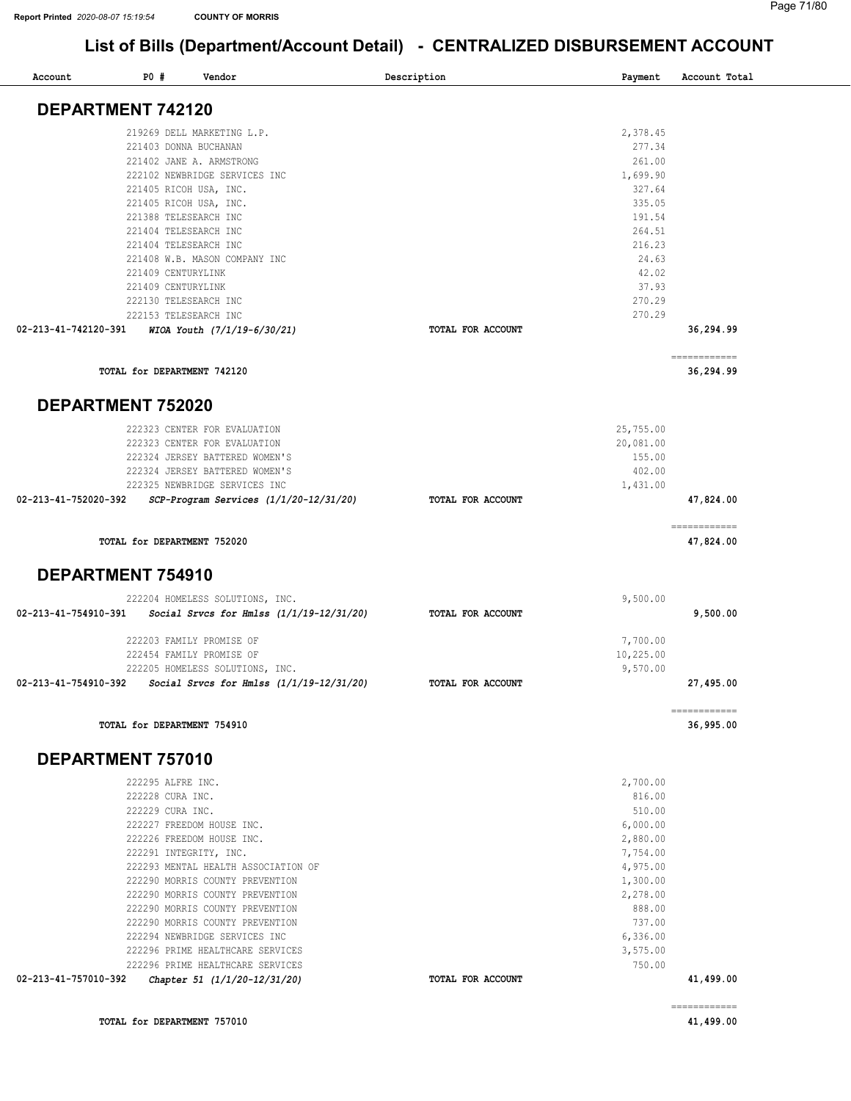$\overline{\phantom{a}}$ 

## List of Bills (Department/Account Detail) - CENTRALIZED DISBURSEMENT ACCOUNT

| Account              | <b>PO #</b><br>Vendor                                            | Description       | Payment               | Account Total             |
|----------------------|------------------------------------------------------------------|-------------------|-----------------------|---------------------------|
|                      | DEPARTMENT 742120                                                |                   |                       |                           |
|                      | 219269 DELL MARKETING L.P.                                       |                   | 2,378.45              |                           |
|                      | 221403 DONNA BUCHANAN                                            |                   | 277.34                |                           |
|                      | 221402 JANE A. ARMSTRONG                                         |                   | 261.00                |                           |
|                      | 222102 NEWBRIDGE SERVICES INC                                    |                   | 1,699.90              |                           |
|                      | 221405 RICOH USA, INC.                                           |                   | 327.64<br>335.05      |                           |
|                      | 221405 RICOH USA, INC.<br>221388 TELESEARCH INC                  |                   | 191.54                |                           |
|                      | 221404 TELESEARCH INC                                            |                   | 264.51                |                           |
|                      | 221404 TELESEARCH INC                                            |                   | 216.23                |                           |
|                      | 221408 W.B. MASON COMPANY INC                                    |                   | 24.63                 |                           |
|                      | 221409 CENTURYLINK                                               |                   | 42.02                 |                           |
|                      | 221409 CENTURYLINK                                               |                   | 37.93                 |                           |
|                      | 222130 TELESEARCH INC                                            |                   | 270.29                |                           |
| 02-213-41-742120-391 | 222153 TELESEARCH INC<br>WIOA Youth (7/1/19-6/30/21)             | TOTAL FOR ACCOUNT | 270.29                | 36,294.99                 |
|                      |                                                                  |                   |                       |                           |
|                      | TOTAL for DEPARTMENT 742120                                      |                   |                       | ============<br>36,294.99 |
|                      | <b>DEPARTMENT 752020</b>                                         |                   |                       |                           |
|                      | 222323 CENTER FOR EVALUATION                                     |                   | 25,755.00             |                           |
|                      | 222323 CENTER FOR EVALUATION                                     |                   | 20,081.00             |                           |
|                      | 222324 JERSEY BATTERED WOMEN'S                                   |                   | 155.00                |                           |
|                      | 222324 JERSEY BATTERED WOMEN'S                                   |                   | 402.00                |                           |
|                      | 222325 NEWBRIDGE SERVICES INC                                    |                   | 1,431.00              |                           |
| 02-213-41-752020-392 | SCP-Program Services (1/1/20-12/31/20)                           | TOTAL FOR ACCOUNT |                       | 47,824.00                 |
|                      | TOTAL for DEPARTMENT 752020                                      |                   |                       | ============<br>47,824.00 |
|                      | DEPARTMENT 754910                                                |                   |                       |                           |
|                      | 222204 HOMELESS SOLUTIONS, INC.                                  |                   | 9,500.00              |                           |
| 02-213-41-754910-391 | Social Srvcs for Hmlss $(1/1/19-12/31/20)$                       | TOTAL FOR ACCOUNT |                       | 9,500.00                  |
|                      |                                                                  |                   |                       |                           |
|                      | 222203 FAMILY PROMISE OF                                         |                   | 7,700.00              |                           |
|                      | 222454 FAMILY PROMISE OF<br>222205 HOMELESS SOLUTIONS, INC.      |                   | 10,225.00<br>9,570.00 |                           |
|                      | 02-213-41-754910-392  Social Srvcs for Hmlss (1/1/19-12/31/20)   | TOTAL FOR ACCOUNT |                       | 27,495.00                 |
|                      |                                                                  |                   |                       | ------------              |
|                      | TOTAL for DEPARTMENT 754910                                      |                   |                       | 36,995.00                 |
|                      | DEPARTMENT 757010                                                |                   |                       |                           |
|                      | 222295 ALFRE INC.                                                |                   | 2,700.00              |                           |
|                      | 222228 CURA INC.                                                 |                   | 816.00                |                           |
|                      | 222229 CURA INC.                                                 |                   | 510.00                |                           |
|                      | 222227 FREEDOM HOUSE INC.<br>222226 FREEDOM HOUSE INC.           |                   | 6,000.00<br>2,880.00  |                           |
|                      | 222291 INTEGRITY, INC.                                           |                   | 7,754.00              |                           |
|                      | 222293 MENTAL HEALTH ASSOCIATION OF                              |                   | 4,975.00              |                           |
|                      | 222290 MORRIS COUNTY PREVENTION                                  |                   | 1,300.00              |                           |
|                      | 222290 MORRIS COUNTY PREVENTION                                  |                   | 2,278.00              |                           |
|                      | 222290 MORRIS COUNTY PREVENTION                                  |                   | 888.00                |                           |
|                      | 222290 MORRIS COUNTY PREVENTION                                  |                   | 737.00                |                           |
|                      | 222294 NEWBRIDGE SERVICES INC                                    |                   | 6,336.00              |                           |
|                      | 222296 PRIME HEALTHCARE SERVICES                                 |                   | 3,575.00              |                           |
| 02-213-41-757010-392 | 222296 PRIME HEALTHCARE SERVICES<br>Chapter 51 (1/1/20-12/31/20) | TOTAL FOR ACCOUNT | 750.00                | 41,499.00                 |
|                      |                                                                  |                   |                       |                           |
|                      |                                                                  |                   |                       | ============              |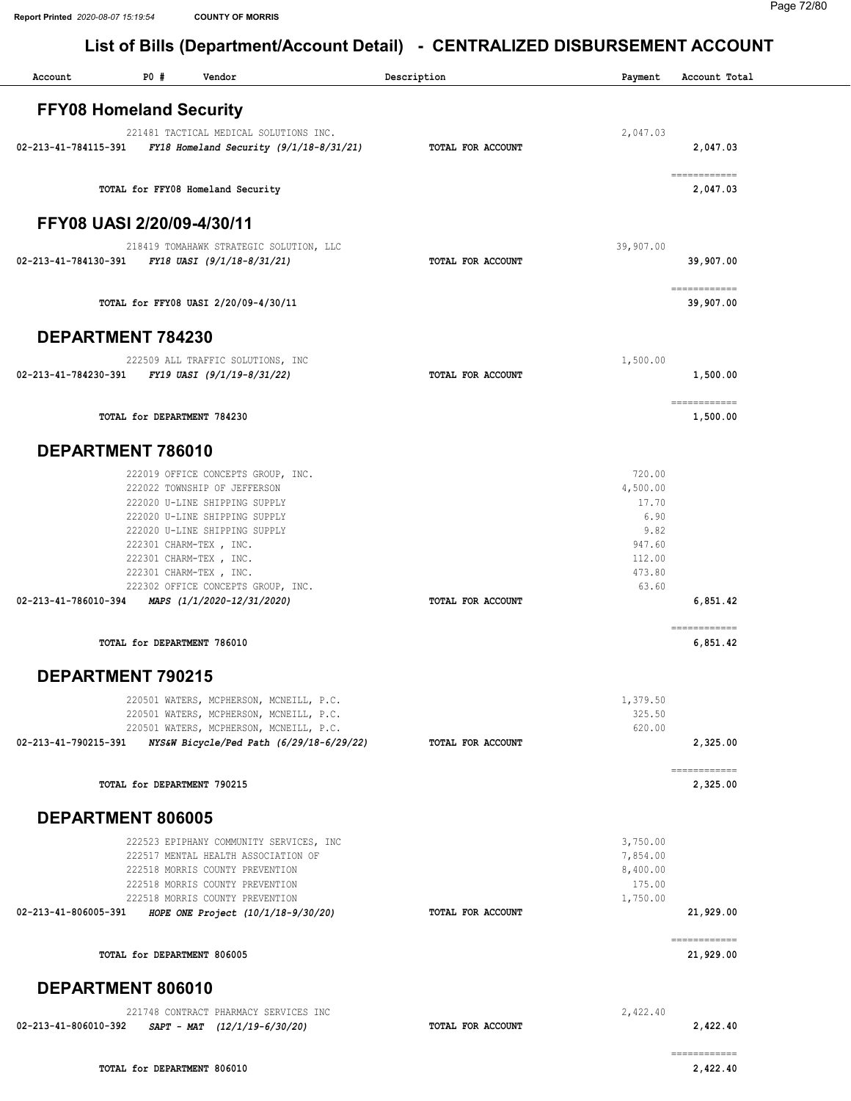## List of Bills (Department/Account Detail) - CENTRALIZED DISBURSEMENT ACCOUNT

| Account                        | P0 #                        | Vendor                                                             | Description       | Payment            | Account Total                                                                                                                                                                                                                                                                                                                                                                                                                                                                                       |
|--------------------------------|-----------------------------|--------------------------------------------------------------------|-------------------|--------------------|-----------------------------------------------------------------------------------------------------------------------------------------------------------------------------------------------------------------------------------------------------------------------------------------------------------------------------------------------------------------------------------------------------------------------------------------------------------------------------------------------------|
| <b>FFY08 Homeland Security</b> |                             |                                                                    |                   |                    |                                                                                                                                                                                                                                                                                                                                                                                                                                                                                                     |
|                                |                             | 221481 TACTICAL MEDICAL SOLUTIONS INC.                             |                   | 2,047.03           |                                                                                                                                                                                                                                                                                                                                                                                                                                                                                                     |
| 02-213-41-784115-391           |                             | FY18 Homeland Security $(9/1/18-8/31/21)$                          | TOTAL FOR ACCOUNT |                    | 2,047.03                                                                                                                                                                                                                                                                                                                                                                                                                                                                                            |
|                                |                             | TOTAL for FFY08 Homeland Security                                  |                   |                    | ============<br>2,047.03                                                                                                                                                                                                                                                                                                                                                                                                                                                                            |
| FFY08 UASI 2/20/09-4/30/11     |                             |                                                                    |                   |                    |                                                                                                                                                                                                                                                                                                                                                                                                                                                                                                     |
|                                |                             | 218419 TOMAHAWK STRATEGIC SOLUTION, LLC                            |                   | 39,907.00          |                                                                                                                                                                                                                                                                                                                                                                                                                                                                                                     |
|                                |                             | 02-213-41-784130-391 FY18 UASI (9/1/18-8/31/21)                    | TOTAL FOR ACCOUNT |                    | 39,907.00                                                                                                                                                                                                                                                                                                                                                                                                                                                                                           |
|                                |                             | TOTAL for FFY08 UASI 2/20/09-4/30/11                               |                   |                    | $\begin{array}{cccccccccc} \multicolumn{2}{c}{} & \multicolumn{2}{c}{} & \multicolumn{2}{c}{} & \multicolumn{2}{c}{} & \multicolumn{2}{c}{} & \multicolumn{2}{c}{} & \multicolumn{2}{c}{} & \multicolumn{2}{c}{} & \multicolumn{2}{c}{} & \multicolumn{2}{c}{} & \multicolumn{2}{c}{} & \multicolumn{2}{c}{} & \multicolumn{2}{c}{} & \multicolumn{2}{c}{} & \multicolumn{2}{c}{} & \multicolumn{2}{c}{} & \multicolumn{2}{c}{} & \multicolumn{2}{c}{} & \multicolumn{2}{c}{} & \mult$<br>39,907.00 |
| DEPARTMENT 784230              |                             |                                                                    |                   |                    |                                                                                                                                                                                                                                                                                                                                                                                                                                                                                                     |
|                                |                             | 222509 ALL TRAFFIC SOLUTIONS, INC                                  |                   | 1,500.00           |                                                                                                                                                                                                                                                                                                                                                                                                                                                                                                     |
| 02-213-41-784230-391           |                             | FY19 UASI (9/1/19-8/31/22)                                         | TOTAL FOR ACCOUNT |                    | 1,500.00                                                                                                                                                                                                                                                                                                                                                                                                                                                                                            |
|                                | TOTAL for DEPARTMENT 784230 |                                                                    |                   |                    | ============<br>1,500.00                                                                                                                                                                                                                                                                                                                                                                                                                                                                            |
| DEPARTMENT 786010              |                             |                                                                    |                   |                    |                                                                                                                                                                                                                                                                                                                                                                                                                                                                                                     |
|                                |                             | 222019 OFFICE CONCEPTS GROUP, INC.                                 |                   | 720.00             |                                                                                                                                                                                                                                                                                                                                                                                                                                                                                                     |
|                                |                             | 222022 TOWNSHIP OF JEFFERSON                                       |                   | 4,500.00           |                                                                                                                                                                                                                                                                                                                                                                                                                                                                                                     |
|                                |                             | 222020 U-LINE SHIPPING SUPPLY<br>222020 U-LINE SHIPPING SUPPLY     |                   | 17.70<br>6.90      |                                                                                                                                                                                                                                                                                                                                                                                                                                                                                                     |
|                                |                             | 222020 U-LINE SHIPPING SUPPLY                                      |                   | 9.82               |                                                                                                                                                                                                                                                                                                                                                                                                                                                                                                     |
|                                |                             | 222301 CHARM-TEX, INC.                                             |                   | 947.60             |                                                                                                                                                                                                                                                                                                                                                                                                                                                                                                     |
|                                |                             | 222301 CHARM-TEX, INC.                                             |                   | 112.00             |                                                                                                                                                                                                                                                                                                                                                                                                                                                                                                     |
|                                |                             | 222301 CHARM-TEX, INC.<br>222302 OFFICE CONCEPTS GROUP, INC.       |                   | 473.80<br>63.60    |                                                                                                                                                                                                                                                                                                                                                                                                                                                                                                     |
| 02-213-41-786010-394           |                             | MAPS (1/1/2020-12/31/2020)                                         | TOTAL FOR ACCOUNT |                    | 6,851.42                                                                                                                                                                                                                                                                                                                                                                                                                                                                                            |
|                                | TOTAL for DEPARTMENT 786010 |                                                                    |                   |                    | ============<br>6,851.42                                                                                                                                                                                                                                                                                                                                                                                                                                                                            |
| DEPARTMENT 790215              |                             |                                                                    |                   |                    |                                                                                                                                                                                                                                                                                                                                                                                                                                                                                                     |
|                                |                             | 220501 WATERS, MCPHERSON, MCNEILL, P.C.                            |                   | 1,379.50           |                                                                                                                                                                                                                                                                                                                                                                                                                                                                                                     |
|                                |                             | 220501 WATERS, MCPHERSON, MCNEILL, P.C.                            |                   | 325.50             |                                                                                                                                                                                                                                                                                                                                                                                                                                                                                                     |
|                                |                             | 220501 WATERS, MCPHERSON, MCNEILL, P.C.                            |                   | 620.00             |                                                                                                                                                                                                                                                                                                                                                                                                                                                                                                     |
| 02-213-41-790215-391           |                             | NYS&W Bicycle/Ped Path (6/29/18-6/29/22)                           | TOTAL FOR ACCOUNT |                    | 2,325.00                                                                                                                                                                                                                                                                                                                                                                                                                                                                                            |
|                                | TOTAL for DEPARTMENT 790215 |                                                                    |                   |                    | ============<br>2,325.00                                                                                                                                                                                                                                                                                                                                                                                                                                                                            |
| DEPARTMENT 806005              |                             |                                                                    |                   |                    |                                                                                                                                                                                                                                                                                                                                                                                                                                                                                                     |
|                                |                             | 222523 EPIPHANY COMMUNITY SERVICES, INC                            |                   | 3,750.00           |                                                                                                                                                                                                                                                                                                                                                                                                                                                                                                     |
|                                |                             | 222517 MENTAL HEALTH ASSOCIATION OF                                |                   | 7,854.00           |                                                                                                                                                                                                                                                                                                                                                                                                                                                                                                     |
|                                |                             | 222518 MORRIS COUNTY PREVENTION                                    |                   | 8,400.00           |                                                                                                                                                                                                                                                                                                                                                                                                                                                                                                     |
|                                |                             | 222518 MORRIS COUNTY PREVENTION<br>222518 MORRIS COUNTY PREVENTION |                   | 175.00<br>1,750.00 |                                                                                                                                                                                                                                                                                                                                                                                                                                                                                                     |
| 02-213-41-806005-391           |                             | HOPE ONE Project (10/1/18-9/30/20)                                 | TOTAL FOR ACCOUNT |                    | 21,929.00                                                                                                                                                                                                                                                                                                                                                                                                                                                                                           |
|                                | TOTAL for DEPARTMENT 806005 |                                                                    |                   |                    | ============<br>21,929.00                                                                                                                                                                                                                                                                                                                                                                                                                                                                           |
| DEPARTMENT 806010              |                             |                                                                    |                   |                    |                                                                                                                                                                                                                                                                                                                                                                                                                                                                                                     |
|                                |                             | 221748 CONTRACT PHARMACY SERVICES INC                              |                   | 2,422.40           |                                                                                                                                                                                                                                                                                                                                                                                                                                                                                                     |
| 02-213-41-806010-392           |                             | $SAPT - MAT$ $(12/1/19-6/30/20)$                                   | TOTAL FOR ACCOUNT |                    | 2,422.40                                                                                                                                                                                                                                                                                                                                                                                                                                                                                            |
|                                | TOTAL for DEPARTMENT 806010 |                                                                    |                   |                    | ============<br>2,422.40                                                                                                                                                                                                                                                                                                                                                                                                                                                                            |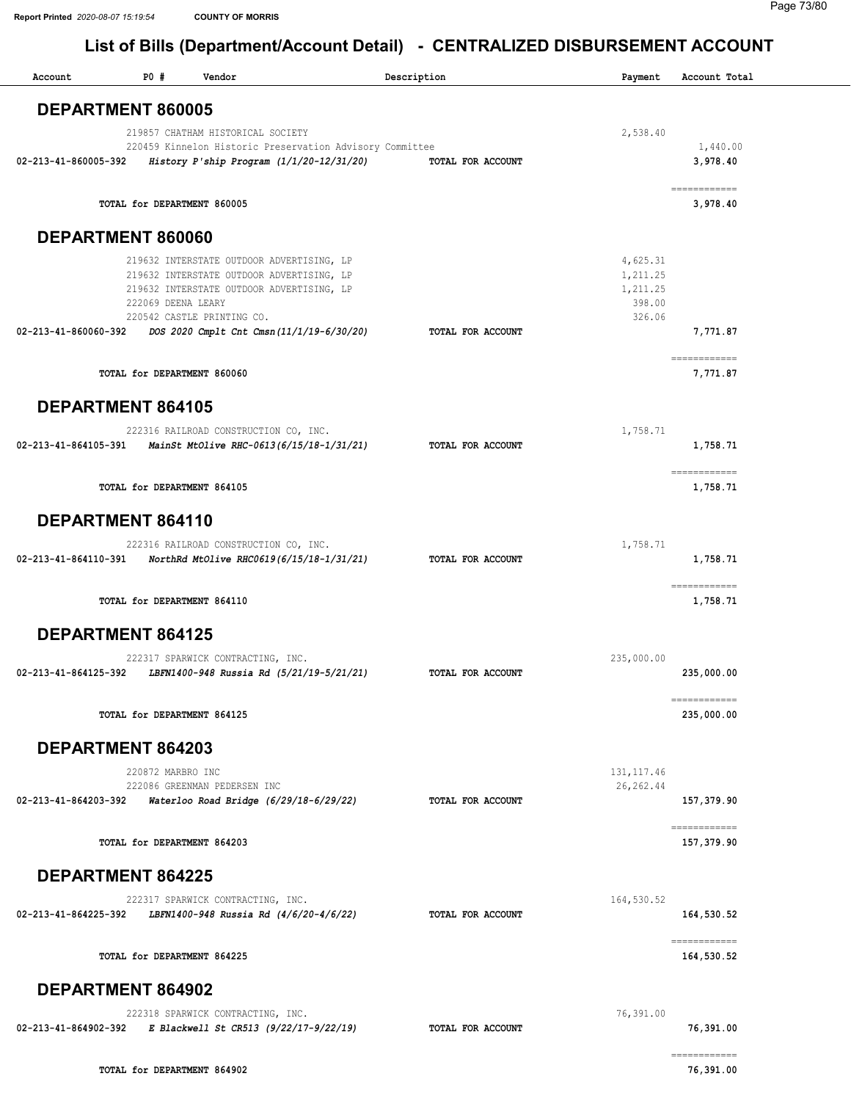| Account              | <b>PO #</b>                 | Vendor                                                                                                 | Description       | Payment              | Account Total              |
|----------------------|-----------------------------|--------------------------------------------------------------------------------------------------------|-------------------|----------------------|----------------------------|
|                      | DEPARTMENT 860005           |                                                                                                        |                   |                      |                            |
|                      |                             | 219857 CHATHAM HISTORICAL SOCIETY                                                                      |                   | 2,538.40             |                            |
| 02-213-41-860005-392 |                             | 220459 Kinnelon Historic Preservation Advisory Committee<br>History P'ship Program $(1/1/20-12/31/20)$ | TOTAL FOR ACCOUNT |                      | 1,440.00<br>3,978.40       |
|                      |                             |                                                                                                        |                   |                      | ------------               |
|                      | TOTAL for DEPARTMENT 860005 |                                                                                                        |                   |                      | 3,978.40                   |
|                      | DEPARTMENT 860060           |                                                                                                        |                   |                      |                            |
|                      |                             | 219632 INTERSTATE OUTDOOR ADVERTISING, LP                                                              |                   | 4,625.31             |                            |
|                      |                             | 219632 INTERSTATE OUTDOOR ADVERTISING, LP<br>219632 INTERSTATE OUTDOOR ADVERTISING, LP                 |                   | 1,211.25<br>1,211.25 |                            |
|                      | 222069 DEENA LEARY          | 220542 CASTLE PRINTING CO.                                                                             |                   | 398.00<br>326.06     |                            |
| 02-213-41-860060-392 |                             | DOS 2020 Cmplt Cnt Cmsn(11/1/19-6/30/20)                                                               | TOTAL FOR ACCOUNT |                      | 7,771.87                   |
|                      |                             |                                                                                                        |                   |                      | ============               |
|                      | TOTAL for DEPARTMENT 860060 |                                                                                                        |                   |                      | 7,771.87                   |
|                      | <b>DEPARTMENT 864105</b>    |                                                                                                        |                   |                      |                            |
|                      |                             | 222316 RAILROAD CONSTRUCTION CO, INC.                                                                  |                   | 1,758.71             |                            |
| 02-213-41-864105-391 |                             | MainSt MtOlive RHC-0613(6/15/18-1/31/21)                                                               | TOTAL FOR ACCOUNT |                      | 1,758.71                   |
|                      | TOTAL for DEPARTMENT 864105 |                                                                                                        |                   |                      | ------------<br>1,758.71   |
|                      | DEPARTMENT 864110           |                                                                                                        |                   |                      |                            |
|                      |                             | 222316 RAILROAD CONSTRUCTION CO, INC.                                                                  |                   | 1,758.71             |                            |
| 02-213-41-864110-391 |                             | NorthRd MtOlive RHC0619(6/15/18-1/31/21)                                                               | TOTAL FOR ACCOUNT |                      | 1,758.71                   |
|                      | TOTAL for DEPARTMENT 864110 |                                                                                                        |                   |                      | ============<br>1,758.71   |
|                      | <b>DEPARTMENT 864125</b>    |                                                                                                        |                   |                      |                            |
|                      |                             | 222317 SPARWICK CONTRACTING, INC.                                                                      |                   | 235,000.00           |                            |
| 02-213-41-864125-392 |                             | LBFN1400-948 Russia Rd (5/21/19-5/21/21)                                                               | TOTAL FOR ACCOUNT |                      | 235,000.00                 |
|                      | TOTAL for DEPARTMENT 864125 |                                                                                                        |                   |                      | ============<br>235,000.00 |
|                      | DEPARTMENT 864203           |                                                                                                        |                   |                      |                            |
|                      | 220872 MARBRO INC           |                                                                                                        |                   | 131, 117.46          |                            |
| 02-213-41-864203-392 |                             | 222086 GREENMAN PEDERSEN INC<br>Waterloo Road Bridge (6/29/18-6/29/22)                                 | TOTAL FOR ACCOUNT | 26, 262.44           | 157,379.90                 |
|                      |                             |                                                                                                        |                   |                      | ============               |
|                      | TOTAL for DEPARTMENT 864203 |                                                                                                        |                   |                      | 157,379.90                 |
|                      | <b>DEPARTMENT 864225</b>    |                                                                                                        |                   |                      |                            |
|                      |                             | 222317 SPARWICK CONTRACTING, INC.                                                                      |                   | 164,530.52           |                            |
| 02-213-41-864225-392 |                             | LBFN1400-948 Russia Rd (4/6/20-4/6/22)                                                                 | TOTAL FOR ACCOUNT |                      | 164,530.52                 |
|                      | TOTAL for DEPARTMENT 864225 |                                                                                                        |                   |                      | ------------<br>164,530.52 |
|                      | DEPARTMENT 864902           |                                                                                                        |                   |                      |                            |
|                      |                             | 222318 SPARWICK CONTRACTING, INC.                                                                      |                   | 76,391.00            |                            |
| 02-213-41-864902-392 |                             | E Blackwell St CR513 (9/22/17-9/22/19)                                                                 | TOTAL FOR ACCOUNT |                      | 76,391.00                  |
|                      | TOTAL for DEPARTMENT 864902 |                                                                                                        |                   |                      | ============<br>76,391.00  |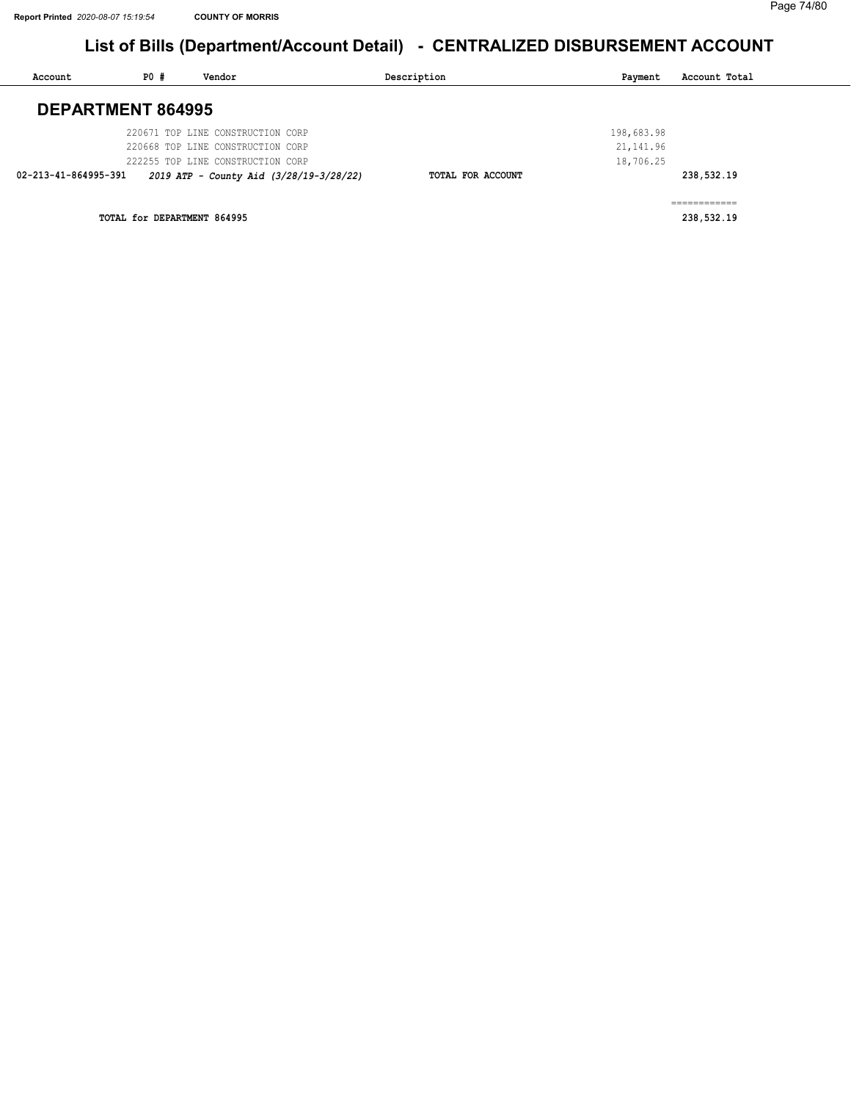| Account                  | P0 # | Vendor                                  | Description       | Payment    | Account Total |
|--------------------------|------|-----------------------------------------|-------------------|------------|---------------|
| <b>DEPARTMENT 864995</b> |      |                                         |                   |            |               |
|                          |      |                                         |                   |            |               |
|                          |      | 220671 TOP LINE CONSTRUCTION CORP       |                   | 198,683.98 |               |
|                          |      | 220668 TOP LINE CONSTRUCTION CORP       |                   | 21, 141.96 |               |
|                          |      | 222255 TOP LINE CONSTRUCTION CORP       |                   | 18,706.25  |               |
| 02-213-41-864995-391     |      | 2019 ATP - County Aid (3/28/19-3/28/22) | TOTAL FOR ACCOUNT |            | 238,532.19    |
|                          |      |                                         |                   |            |               |
|                          |      |                                         |                   |            |               |

TOTAL for DEPARTMENT 864995 238,532.19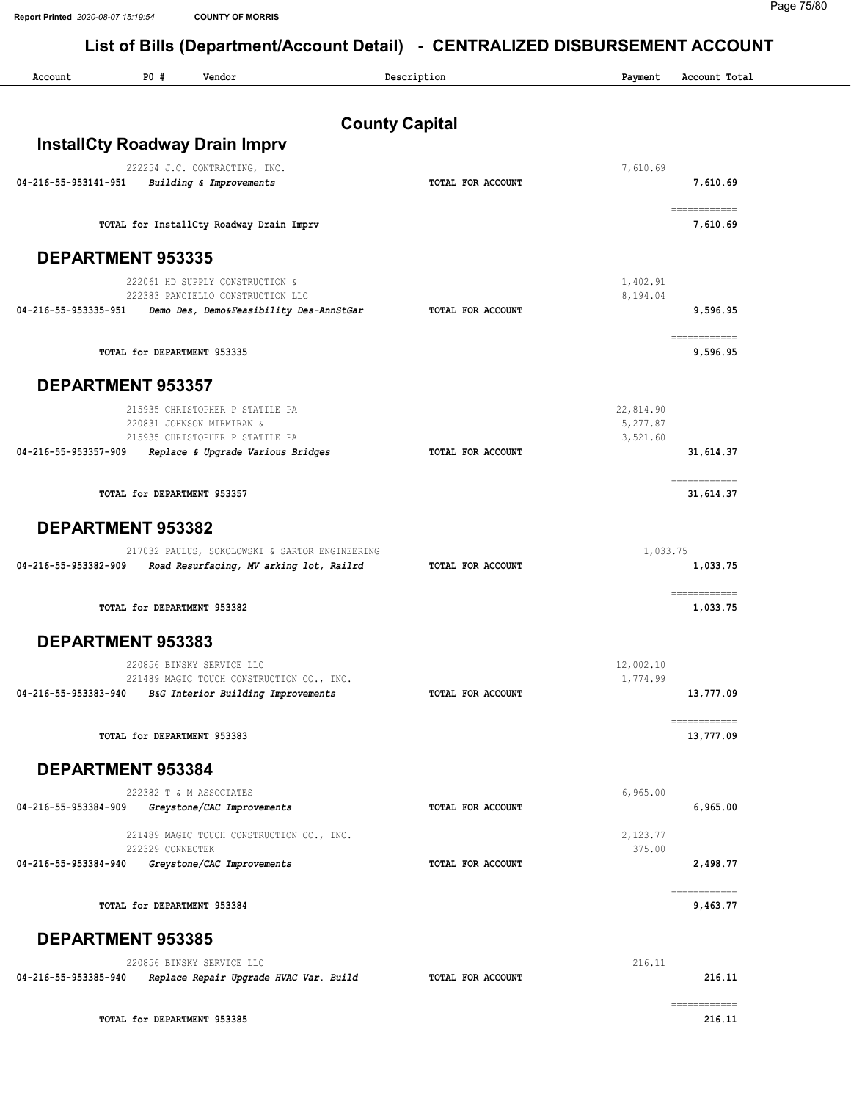| Account              | P0 #                        | Vendor                                                                       | Description           | Payment              | Account Total             |
|----------------------|-----------------------------|------------------------------------------------------------------------------|-----------------------|----------------------|---------------------------|
|                      |                             |                                                                              | <b>County Capital</b> |                      |                           |
|                      |                             | <b>InstallCty Roadway Drain Imprv</b>                                        |                       |                      |                           |
|                      |                             | 222254 J.C. CONTRACTING, INC.                                                |                       | 7,610.69             |                           |
| 04-216-55-953141-951 |                             | Building & Improvements                                                      | TOTAL FOR ACCOUNT     |                      | 7,610.69                  |
|                      |                             | TOTAL for InstallCty Roadway Drain Imprv                                     |                       |                      | ============<br>7,610.69  |
|                      | <b>DEPARTMENT 953335</b>    |                                                                              |                       |                      |                           |
|                      |                             | 222061 HD SUPPLY CONSTRUCTION &                                              |                       | 1,402.91             |                           |
| 04-216-55-953335-951 |                             | 222383 PANCIELLO CONSTRUCTION LLC<br>Demo Des, Demo&Feasibility Des-AnnStGar | TOTAL FOR ACCOUNT     | 8,194.04             | 9,596.95                  |
|                      |                             |                                                                              |                       |                      | ============              |
|                      | TOTAL for DEPARTMENT 953335 |                                                                              |                       |                      | 9,596.95                  |
|                      | <b>DEPARTMENT 953357</b>    |                                                                              |                       |                      |                           |
|                      |                             | 215935 CHRISTOPHER P STATILE PA                                              |                       | 22,814.90            |                           |
|                      |                             | 220831 JOHNSON MIRMIRAN &<br>215935 CHRISTOPHER P STATILE PA                 |                       | 5,277.87<br>3,521.60 |                           |
| 04-216-55-953357-909 |                             | Replace & Upgrade Various Bridges                                            | TOTAL FOR ACCOUNT     |                      | 31,614.37                 |
|                      | TOTAL for DEPARTMENT 953357 |                                                                              |                       |                      | ============<br>31,614.37 |
|                      | DEPARTMENT 953382           |                                                                              |                       |                      |                           |
|                      |                             | 217032 PAULUS, SOKOLOWSKI & SARTOR ENGINEERING                               |                       | 1,033.75             |                           |
| 04-216-55-953382-909 |                             | Road Resurfacing, MV arking lot, Railrd                                      | TOTAL FOR ACCOUNT     |                      | 1,033.75                  |
|                      | TOTAL for DEPARTMENT 953382 |                                                                              |                       |                      | ------------<br>1,033.75  |
|                      | DEPARTMENT 953383           |                                                                              |                       |                      |                           |
|                      |                             | 220856 BINSKY SERVICE LLC                                                    |                       | 12,002.10            |                           |
| 04-216-55-953383-940 |                             | 221489 MAGIC TOUCH CONSTRUCTION CO., INC.                                    |                       | 1,774.99             | 13,777.09                 |
|                      |                             | B&G Interior Building Improvements                                           | TOTAL FOR ACCOUNT     |                      |                           |
|                      | TOTAL for DEPARTMENT 953383 |                                                                              |                       |                      | ============<br>13,777.09 |
|                      | DEPARTMENT 953384           |                                                                              |                       |                      |                           |
|                      |                             | 222382 T & M ASSOCIATES                                                      |                       | 6,965.00             |                           |
| 04-216-55-953384-909 |                             | Greystone/CAC Improvements                                                   | TOTAL FOR ACCOUNT     |                      | 6,965.00                  |
|                      |                             | 221489 MAGIC TOUCH CONSTRUCTION CO., INC.                                    |                       | 2,123.77             |                           |
| 04-216-55-953384-940 | 222329 CONNECTEK            | Greystone/CAC Improvements                                                   | TOTAL FOR ACCOUNT     | 375.00               | 2,498.77                  |
|                      |                             |                                                                              |                       |                      | ------------              |
|                      | TOTAL for DEPARTMENT 953384 |                                                                              |                       |                      | 9,463.77                  |
|                      | <b>DEPARTMENT 953385</b>    |                                                                              |                       |                      |                           |
|                      |                             | 220856 BINSKY SERVICE LLC                                                    |                       | 216.11               |                           |
| 04-216-55-953385-940 |                             | Replace Repair Upgrade HVAC Var. Build                                       | TOTAL FOR ACCOUNT     |                      | 216.11                    |
|                      | TOTAL for DEPARTMENT 953385 |                                                                              |                       |                      | ecceccecece<br>216.11     |
|                      |                             |                                                                              |                       |                      |                           |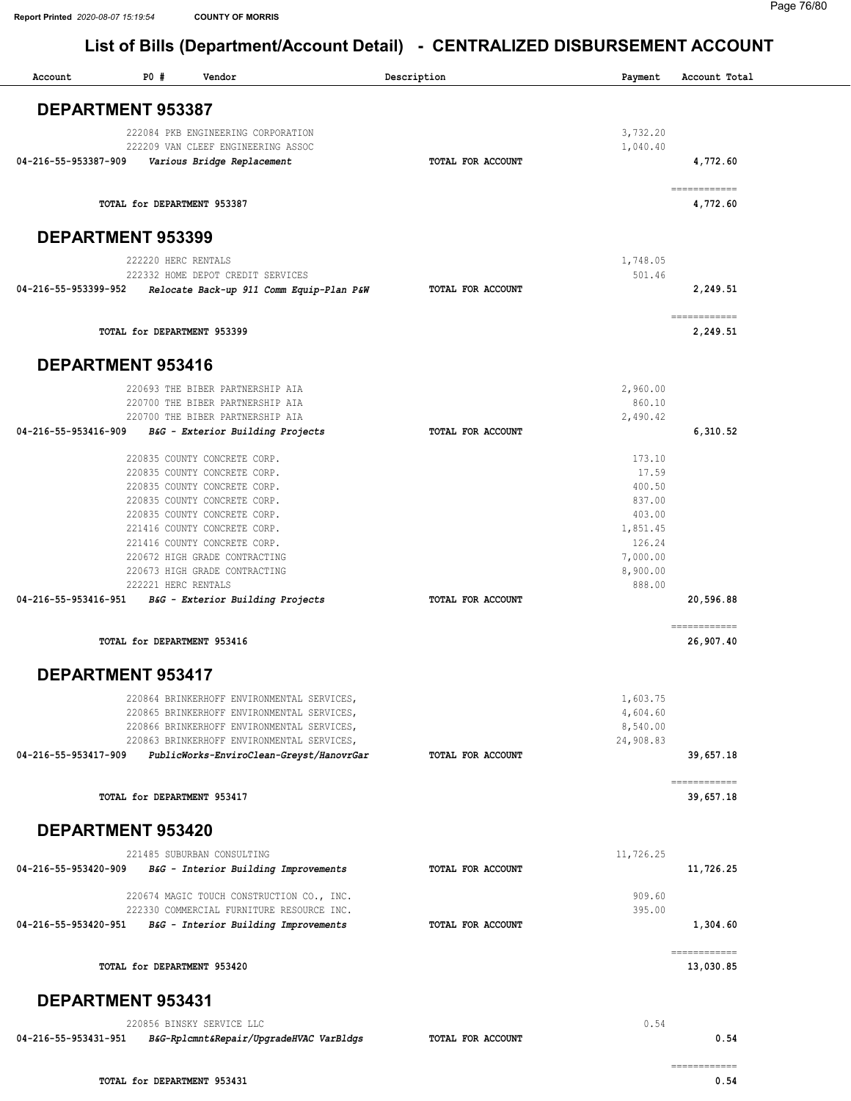| Account              | P0#                         | Vendor                                                                                 | Description       | Payment              | Account Total                                                                                                                                                                                                                                                                                                                                                                                                                                                                                      |
|----------------------|-----------------------------|----------------------------------------------------------------------------------------|-------------------|----------------------|----------------------------------------------------------------------------------------------------------------------------------------------------------------------------------------------------------------------------------------------------------------------------------------------------------------------------------------------------------------------------------------------------------------------------------------------------------------------------------------------------|
|                      | <b>DEPARTMENT 953387</b>    |                                                                                        |                   |                      |                                                                                                                                                                                                                                                                                                                                                                                                                                                                                                    |
|                      |                             | 222084 PKB ENGINEERING CORPORATION                                                     |                   | 3,732.20             |                                                                                                                                                                                                                                                                                                                                                                                                                                                                                                    |
|                      |                             | 222209 VAN CLEEF ENGINEERING ASSOC                                                     |                   | 1,040.40             |                                                                                                                                                                                                                                                                                                                                                                                                                                                                                                    |
| 04-216-55-953387-909 |                             | Various Bridge Replacement                                                             | TOTAL FOR ACCOUNT |                      | 4,772.60                                                                                                                                                                                                                                                                                                                                                                                                                                                                                           |
|                      | TOTAL for DEPARTMENT 953387 |                                                                                        |                   |                      | $\begin{array}{cccccccccc} \multicolumn{2}{c}{} & \multicolumn{2}{c}{} & \multicolumn{2}{c}{} & \multicolumn{2}{c}{} & \multicolumn{2}{c}{} & \multicolumn{2}{c}{} & \multicolumn{2}{c}{} & \multicolumn{2}{c}{} & \multicolumn{2}{c}{} & \multicolumn{2}{c}{} & \multicolumn{2}{c}{} & \multicolumn{2}{c}{} & \multicolumn{2}{c}{} & \multicolumn{2}{c}{} & \multicolumn{2}{c}{} & \multicolumn{2}{c}{} & \multicolumn{2}{c}{} & \multicolumn{2}{c}{} & \multicolumn{2}{c}{} & \mult$<br>4,772.60 |
|                      | <b>DEPARTMENT 953399</b>    |                                                                                        |                   |                      |                                                                                                                                                                                                                                                                                                                                                                                                                                                                                                    |
|                      | 222220 HERC RENTALS         |                                                                                        |                   | 1,748.05             |                                                                                                                                                                                                                                                                                                                                                                                                                                                                                                    |
|                      |                             | 222332 HOME DEPOT CREDIT SERVICES                                                      |                   | 501.46               |                                                                                                                                                                                                                                                                                                                                                                                                                                                                                                    |
| 04-216-55-953399-952 |                             | Relocate Back-up 911 Comm Equip-Plan P&W                                               | TOTAL FOR ACCOUNT |                      | 2,249.51                                                                                                                                                                                                                                                                                                                                                                                                                                                                                           |
|                      | TOTAL for DEPARTMENT 953399 |                                                                                        |                   |                      | ------------<br>2,249.51                                                                                                                                                                                                                                                                                                                                                                                                                                                                           |
|                      | DEPARTMENT 953416           |                                                                                        |                   |                      |                                                                                                                                                                                                                                                                                                                                                                                                                                                                                                    |
|                      |                             | 220693 THE BIBER PARTNERSHIP AIA                                                       |                   | 2,960.00             |                                                                                                                                                                                                                                                                                                                                                                                                                                                                                                    |
|                      |                             | 220700 THE BIBER PARTNERSHIP AIA                                                       |                   | 860.10               |                                                                                                                                                                                                                                                                                                                                                                                                                                                                                                    |
| 04-216-55-953416-909 |                             | 220700 THE BIBER PARTNERSHIP AIA<br>B&G - Exterior Building Projects                   | TOTAL FOR ACCOUNT | 2,490.42             | 6,310.52                                                                                                                                                                                                                                                                                                                                                                                                                                                                                           |
|                      |                             |                                                                                        |                   |                      |                                                                                                                                                                                                                                                                                                                                                                                                                                                                                                    |
|                      |                             | 220835 COUNTY CONCRETE CORP.                                                           |                   | 173.10               |                                                                                                                                                                                                                                                                                                                                                                                                                                                                                                    |
|                      |                             | 220835 COUNTY CONCRETE CORP.<br>220835 COUNTY CONCRETE CORP.                           |                   | 17.59<br>400.50      |                                                                                                                                                                                                                                                                                                                                                                                                                                                                                                    |
|                      |                             | 220835 COUNTY CONCRETE CORP.                                                           |                   | 837.00               |                                                                                                                                                                                                                                                                                                                                                                                                                                                                                                    |
|                      |                             | 220835 COUNTY CONCRETE CORP.                                                           |                   | 403.00               |                                                                                                                                                                                                                                                                                                                                                                                                                                                                                                    |
|                      |                             | 221416 COUNTY CONCRETE CORP.                                                           |                   | 1,851.45             |                                                                                                                                                                                                                                                                                                                                                                                                                                                                                                    |
|                      |                             | 221416 COUNTY CONCRETE CORP.                                                           |                   | 126.24               |                                                                                                                                                                                                                                                                                                                                                                                                                                                                                                    |
|                      |                             | 220672 HIGH GRADE CONTRACTING<br>220673 HIGH GRADE CONTRACTING                         |                   | 7,000.00<br>8,900.00 |                                                                                                                                                                                                                                                                                                                                                                                                                                                                                                    |
|                      | 222221 HERC RENTALS         |                                                                                        |                   | 888.00               |                                                                                                                                                                                                                                                                                                                                                                                                                                                                                                    |
| 04-216-55-953416-951 |                             | B&G - Exterior Building Projects                                                       | TOTAL FOR ACCOUNT |                      | 20,596.88                                                                                                                                                                                                                                                                                                                                                                                                                                                                                          |
|                      | TOTAL for DEPARTMENT 953416 |                                                                                        |                   |                      | ------------<br>26,907.40                                                                                                                                                                                                                                                                                                                                                                                                                                                                          |
|                      | DEPARTMENT 953417           |                                                                                        |                   |                      |                                                                                                                                                                                                                                                                                                                                                                                                                                                                                                    |
|                      |                             | 220864 BRINKERHOFF ENVIRONMENTAL SERVICES,                                             |                   | 1,603.75             |                                                                                                                                                                                                                                                                                                                                                                                                                                                                                                    |
|                      |                             | 220865 BRINKERHOFF ENVIRONMENTAL SERVICES,                                             |                   | 4,604.60             |                                                                                                                                                                                                                                                                                                                                                                                                                                                                                                    |
|                      |                             | 220866 BRINKERHOFF ENVIRONMENTAL SERVICES,                                             |                   | 8,540.00             |                                                                                                                                                                                                                                                                                                                                                                                                                                                                                                    |
| 04-216-55-953417-909 |                             | 220863 BRINKERHOFF ENVIRONMENTAL SERVICES,<br>PublicWorks-EnviroClean-Greyst/HanovrGar | TOTAL FOR ACCOUNT | 24,908.83            | 39,657.18                                                                                                                                                                                                                                                                                                                                                                                                                                                                                          |
|                      |                             |                                                                                        |                   |                      |                                                                                                                                                                                                                                                                                                                                                                                                                                                                                                    |
|                      | TOTAL for DEPARTMENT 953417 |                                                                                        |                   |                      | ------------<br>39,657.18                                                                                                                                                                                                                                                                                                                                                                                                                                                                          |
|                      | <b>DEPARTMENT 953420</b>    |                                                                                        |                   |                      |                                                                                                                                                                                                                                                                                                                                                                                                                                                                                                    |
|                      |                             | 221485 SUBURBAN CONSULTING                                                             |                   | 11,726.25            |                                                                                                                                                                                                                                                                                                                                                                                                                                                                                                    |
| 04-216-55-953420-909 |                             | B&G - Interior Building Improvements                                                   | TOTAL FOR ACCOUNT |                      | 11,726.25                                                                                                                                                                                                                                                                                                                                                                                                                                                                                          |
|                      |                             | 220674 MAGIC TOUCH CONSTRUCTION CO., INC.                                              |                   | 909.60               |                                                                                                                                                                                                                                                                                                                                                                                                                                                                                                    |
|                      |                             | 222330 COMMERCIAL FURNITURE RESOURCE INC.                                              |                   | 395.00               |                                                                                                                                                                                                                                                                                                                                                                                                                                                                                                    |
| 04-216-55-953420-951 |                             | B&G - Interior Building Improvements                                                   | TOTAL FOR ACCOUNT |                      | 1,304.60                                                                                                                                                                                                                                                                                                                                                                                                                                                                                           |
|                      | TOTAL for DEPARTMENT 953420 |                                                                                        |                   |                      | ============<br>13,030.85                                                                                                                                                                                                                                                                                                                                                                                                                                                                          |
|                      | <b>DEPARTMENT 953431</b>    |                                                                                        |                   |                      |                                                                                                                                                                                                                                                                                                                                                                                                                                                                                                    |
|                      |                             | 220856 BINSKY SERVICE LLC                                                              |                   | 0.54                 |                                                                                                                                                                                                                                                                                                                                                                                                                                                                                                    |
| 04-216-55-953431-951 |                             | B&G-Rplcmnt&Repair/UpgradeHVAC VarBldgs                                                | TOTAL FOR ACCOUNT |                      | 0.54                                                                                                                                                                                                                                                                                                                                                                                                                                                                                               |
|                      |                             |                                                                                        |                   |                      | ============                                                                                                                                                                                                                                                                                                                                                                                                                                                                                       |
|                      | TOTAL for DEPARTMENT 953431 |                                                                                        |                   |                      | 0.54                                                                                                                                                                                                                                                                                                                                                                                                                                                                                               |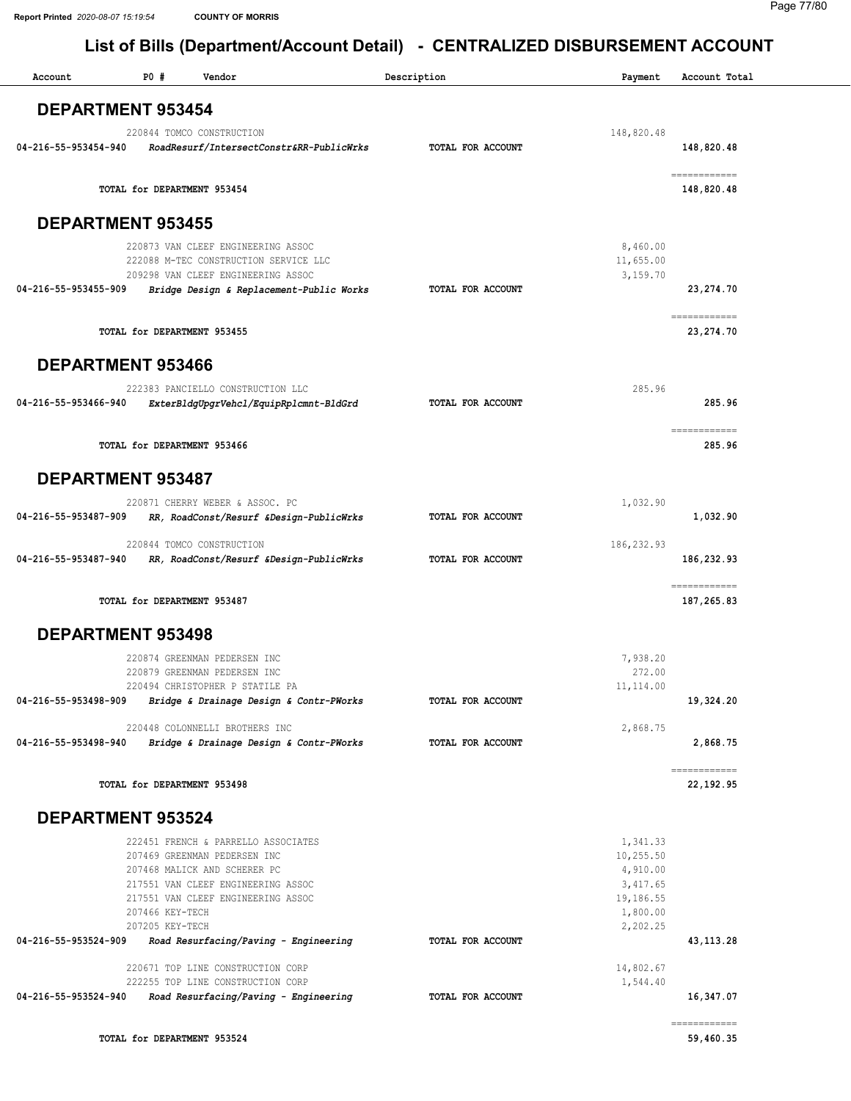| Account                  | <b>PO #</b>     | Vendor                                                                      | Description       | Payment               | Account Total               |
|--------------------------|-----------------|-----------------------------------------------------------------------------|-------------------|-----------------------|-----------------------------|
| <b>DEPARTMENT 953454</b> |                 |                                                                             |                   |                       |                             |
|                          |                 | 220844 TOMCO CONSTRUCTION                                                   |                   | 148,820.48            |                             |
| 04-216-55-953454-940     |                 | RoadResurf/IntersectConstr&RR-PublicWrks                                    | TOTAL FOR ACCOUNT |                       | 148,820.48                  |
|                          |                 | TOTAL for DEPARTMENT 953454                                                 |                   |                       | ============<br>148,820.48  |
| <b>DEPARTMENT 953455</b> |                 |                                                                             |                   |                       |                             |
|                          |                 | 220873 VAN CLEEF ENGINEERING ASSOC                                          |                   | 8,460.00              |                             |
|                          |                 | 222088 M-TEC CONSTRUCTION SERVICE LLC<br>209298 VAN CLEEF ENGINEERING ASSOC |                   | 11,655.00<br>3,159.70 |                             |
| 04-216-55-953455-909     |                 | Bridge Design & Replacement-Public Works                                    | TOTAL FOR ACCOUNT |                       | 23, 274.70                  |
|                          |                 |                                                                             |                   |                       | ============                |
|                          |                 | TOTAL for DEPARTMENT 953455                                                 |                   |                       | 23, 274. 70                 |
| DEPARTMENT 953466        |                 |                                                                             |                   |                       |                             |
|                          |                 | 222383 PANCIELLO CONSTRUCTION LLC                                           |                   | 285.96                |                             |
| 04-216-55-953466-940     |                 | ExterBldgUpgrVehcl/EquipRplcmnt-BldGrd                                      | TOTAL FOR ACCOUNT |                       | 285.96                      |
|                          |                 | TOTAL for DEPARTMENT 953466                                                 |                   |                       | ============<br>285.96      |
|                          |                 |                                                                             |                   |                       |                             |
| <b>DEPARTMENT 953487</b> |                 |                                                                             |                   |                       |                             |
| 04-216-55-953487-909     |                 | 220871 CHERRY WEBER & ASSOC. PC<br>RR, RoadConst/Resurf &Design-PublicWrks  | TOTAL FOR ACCOUNT | 1,032.90              | 1,032.90                    |
|                          |                 |                                                                             |                   |                       |                             |
| 04-216-55-953487-940     |                 | 220844 TOMCO CONSTRUCTION                                                   | TOTAL FOR ACCOUNT | 186, 232.93           |                             |
|                          |                 | RR, RoadConst/Resurf &Design-PublicWrks                                     |                   |                       | 186,232.93                  |
|                          |                 | TOTAL for DEPARTMENT 953487                                                 |                   |                       | ------------<br>187, 265.83 |
| DEPARTMENT 953498        |                 |                                                                             |                   |                       |                             |
|                          |                 | 220874 GREENMAN PEDERSEN INC                                                |                   | 7,938.20              |                             |
|                          |                 | 220879 GREENMAN PEDERSEN INC                                                |                   | 272.00                |                             |
| 04-216-55-953498-909     |                 | 220494 CHRISTOPHER P STATILE PA<br>Bridge & Drainage Design & Contr-PWorks  | TOTAL FOR ACCOUNT | 11,114.00             | 19,324.20                   |
|                          |                 |                                                                             |                   |                       |                             |
|                          |                 | 220448 COLONNELLI BROTHERS INC                                              |                   | 2,868.75              |                             |
| 04-216-55-953498-940     |                 | Bridge & Drainage Design & Contr-PWorks                                     | TOTAL FOR ACCOUNT |                       | 2,868.75                    |
|                          |                 | TOTAL for DEPARTMENT 953498                                                 |                   |                       | ------------<br>22, 192.95  |
| <b>DEPARTMENT 953524</b> |                 |                                                                             |                   |                       |                             |
|                          |                 | 222451 FRENCH & PARRELLO ASSOCIATES                                         |                   | 1,341.33              |                             |
|                          |                 | 207469 GREENMAN PEDERSEN INC                                                |                   | 10,255.50             |                             |
|                          |                 | 207468 MALICK AND SCHERER PC                                                |                   | 4,910.00              |                             |
|                          |                 | 217551 VAN CLEEF ENGINEERING ASSOC<br>217551 VAN CLEEF ENGINEERING ASSOC    |                   | 3,417.65<br>19,186.55 |                             |
|                          | 207466 KEY-TECH |                                                                             |                   | 1,800.00              |                             |
|                          | 207205 KEY-TECH |                                                                             |                   | 2,202.25              |                             |
| 04-216-55-953524-909     |                 | Road Resurfacing/Paving - Engineering                                       | TOTAL FOR ACCOUNT |                       | 43, 113. 28                 |
|                          |                 | 220671 TOP LINE CONSTRUCTION CORP                                           |                   | 14,802.67             |                             |
| 04-216-55-953524-940     |                 | 222255 TOP LINE CONSTRUCTION CORP<br>Road Resurfacing/Paving - Engineering  | TOTAL FOR ACCOUNT | 1,544.40              | 16,347.07                   |
|                          |                 |                                                                             |                   |                       | ============                |
|                          |                 | TOTAL for DEPARTMENT 953524                                                 |                   |                       | 59,460.35                   |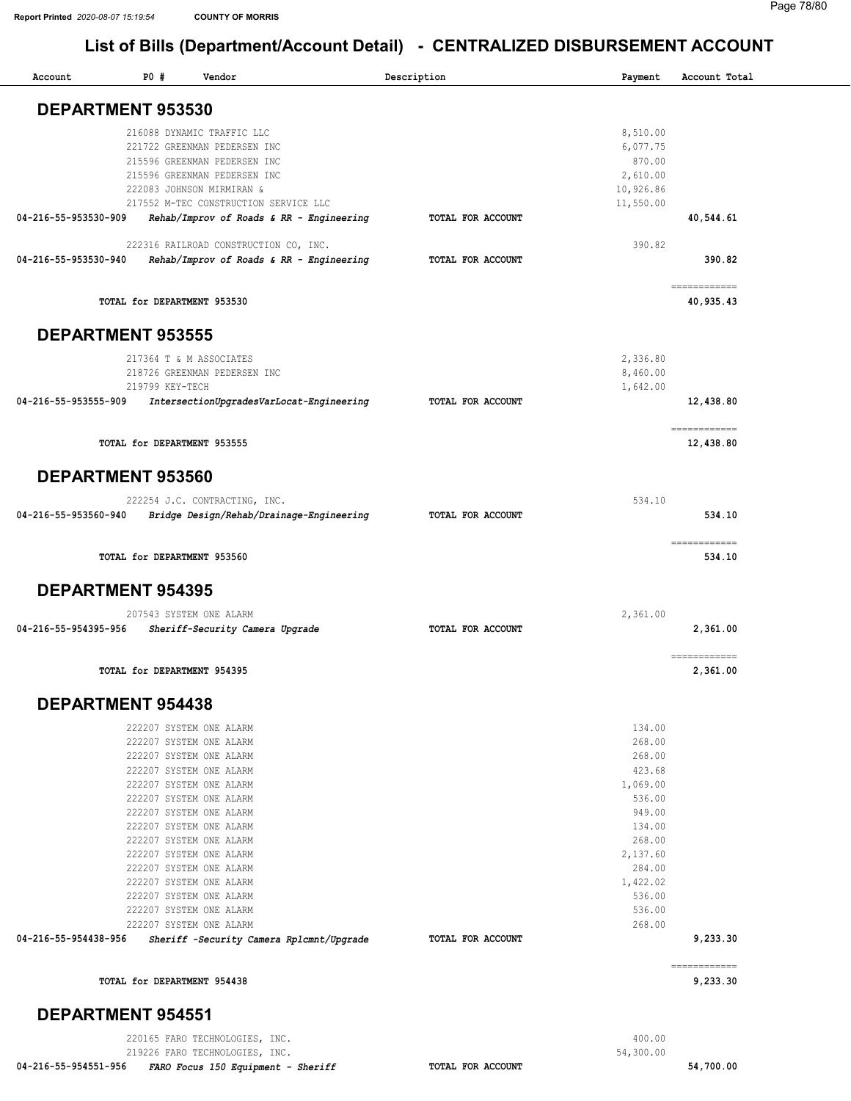| Account                  | P0#                         | Vendor                                             | Description       | Payment            | Account Total             |
|--------------------------|-----------------------------|----------------------------------------------------|-------------------|--------------------|---------------------------|
| DEPARTMENT 953530        |                             |                                                    |                   |                    |                           |
|                          |                             | 216088 DYNAMIC TRAFFIC LLC                         |                   | 8,510.00           |                           |
|                          |                             | 221722 GREENMAN PEDERSEN INC                       |                   | 6,077.75           |                           |
|                          |                             | 215596 GREENMAN PEDERSEN INC                       |                   | 870.00             |                           |
|                          |                             | 215596 GREENMAN PEDERSEN INC                       |                   | 2,610.00           |                           |
|                          |                             | 222083 JOHNSON MIRMIRAN &                          |                   | 10,926.86          |                           |
|                          |                             | 217552 M-TEC CONSTRUCTION SERVICE LLC              |                   | 11,550.00          |                           |
| 04-216-55-953530-909     |                             | Rehab/Improv of Roads & RR - Engineering           | TOTAL FOR ACCOUNT |                    | 40,544.61                 |
|                          |                             | 222316 RAILROAD CONSTRUCTION CO, INC.              |                   | 390.82             |                           |
| 04-216-55-953530-940     |                             | Rehab/Improv of Roads & RR - Engineering           | TOTAL FOR ACCOUNT |                    | 390.82                    |
|                          | TOTAL for DEPARTMENT 953530 |                                                    |                   |                    | ============<br>40,935.43 |
| <b>DEPARTMENT 953555</b> |                             |                                                    |                   |                    |                           |
|                          |                             | 217364 T & M ASSOCIATES                            |                   | 2,336.80           |                           |
|                          |                             | 218726 GREENMAN PEDERSEN INC                       |                   | 8,460.00           |                           |
|                          | 219799 KEY-TECH             |                                                    |                   | 1,642.00           |                           |
| 04-216-55-953555-909     |                             | IntersectionUpgradesVarLocat-Engineering           | TOTAL FOR ACCOUNT |                    | 12,438.80                 |
|                          | TOTAL for DEPARTMENT 953555 |                                                    |                   |                    | ============<br>12,438.80 |
|                          |                             |                                                    |                   |                    |                           |
| <b>DEPARTMENT 953560</b> |                             |                                                    |                   |                    |                           |
|                          |                             | 222254 J.C. CONTRACTING, INC.                      |                   | 534.10             |                           |
| 04-216-55-953560-940     |                             | Bridge Design/Rehab/Drainage-Engineering           | TOTAL FOR ACCOUNT |                    | 534.10                    |
|                          | TOTAL for DEPARTMENT 953560 |                                                    |                   |                    | ============<br>534.10    |
| <b>DEPARTMENT 954395</b> |                             |                                                    |                   |                    |                           |
|                          |                             | 207543 SYSTEM ONE ALARM                            |                   | 2,361.00           |                           |
| 04-216-55-954395-956     |                             | Sheriff-Security Camera Upgrade                    | TOTAL FOR ACCOUNT |                    | 2,361.00                  |
|                          |                             |                                                    |                   |                    |                           |
|                          | TOTAL for DEPARTMENT 954395 |                                                    |                   |                    | ============<br>2,361.00  |
| <b>DEPARTMENT 954438</b> |                             |                                                    |                   |                    |                           |
|                          |                             | 222207 SYSTEM ONE ALARM                            |                   | 134.00             |                           |
|                          |                             | 222207 SYSTEM ONE ALARM                            |                   | 268.00             |                           |
|                          |                             | 222207 SYSTEM ONE ALARM                            |                   | 268.00             |                           |
|                          |                             | 222207 SYSTEM ONE ALARM                            |                   | 423.68             |                           |
|                          |                             | 222207 SYSTEM ONE ALARM                            |                   | 1,069.00           |                           |
|                          |                             | 222207 SYSTEM ONE ALARM                            |                   | 536.00             |                           |
|                          |                             | 222207 SYSTEM ONE ALARM                            |                   | 949.00             |                           |
|                          |                             | 222207 SYSTEM ONE ALARM<br>222207 SYSTEM ONE ALARM |                   | 134.00             |                           |
|                          |                             | 222207 SYSTEM ONE ALARM                            |                   | 268.00<br>2,137.60 |                           |
|                          |                             | 222207 SYSTEM ONE ALARM                            |                   | 284.00             |                           |
|                          |                             | 222207 SYSTEM ONE ALARM                            |                   | 1,422.02           |                           |
|                          |                             | 222207 SYSTEM ONE ALARM                            |                   | 536.00             |                           |
|                          |                             | 222207 SYSTEM ONE ALARM                            |                   | 536.00             |                           |
|                          |                             | 222207 SYSTEM ONE ALARM                            |                   | 268.00             |                           |
| 04-216-55-954438-956     |                             | Sheriff -Security Camera Rplcmnt/Upgrade           | TOTAL FOR ACCOUNT |                    | 9,233.30                  |
|                          |                             |                                                    |                   |                    | ============              |
|                          | TOTAL for DEPARTMENT 954438 |                                                    |                   |                    | 9,233.30                  |
| <b>DEPARTMENT 954551</b> |                             |                                                    |                   |                    |                           |
|                          |                             | 220165 FARO TECHNOLOGIES, INC.                     |                   | 400.00             |                           |

219226 FARO TECHNOLOGIES, INC.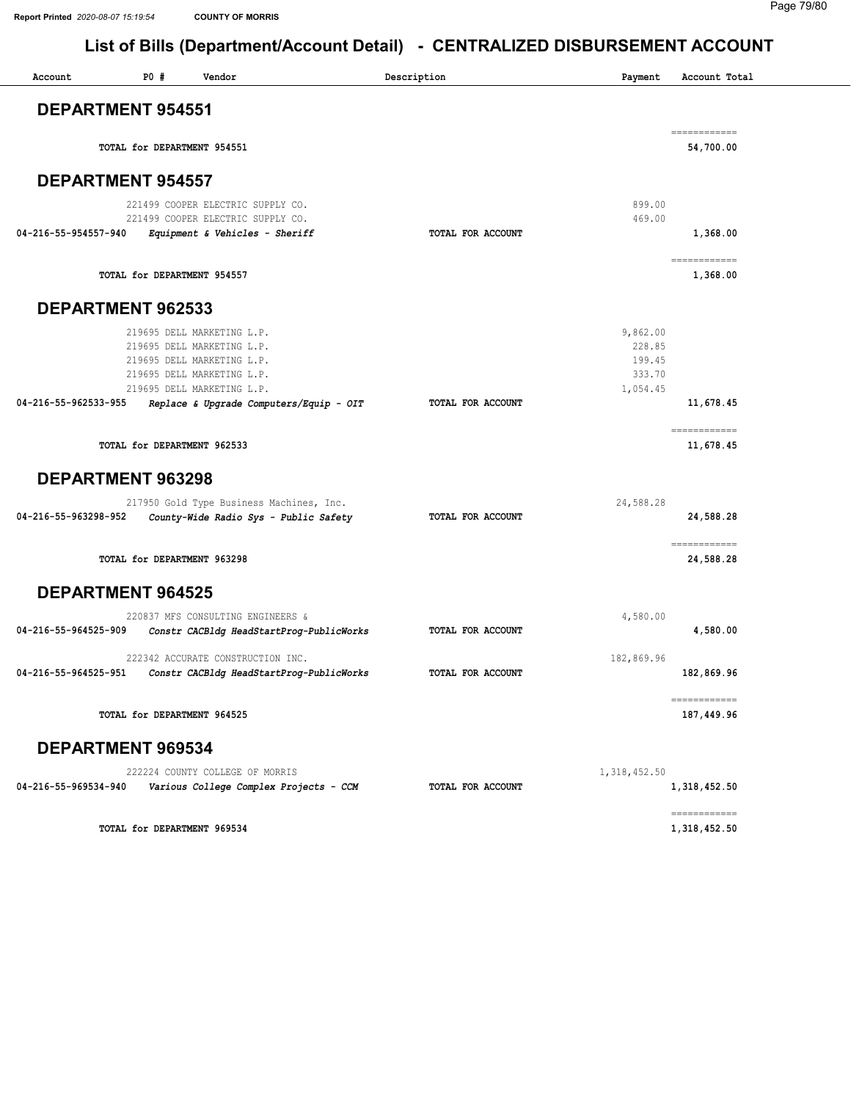$\overline{\phantom{a}}$ 

#### Page 79/80

## List of Bills (Department/Account Detail) - CENTRALIZED DISBURSEMENT ACCOUNT

| Account                  | P0# | Vendor                                                                                                                                             | Description       | Payment                                            | Account Total              |
|--------------------------|-----|----------------------------------------------------------------------------------------------------------------------------------------------------|-------------------|----------------------------------------------------|----------------------------|
| <b>DEPARTMENT 954551</b> |     |                                                                                                                                                    |                   |                                                    |                            |
|                          |     | TOTAL for DEPARTMENT 954551                                                                                                                        |                   |                                                    | ============<br>54,700.00  |
| <b>DEPARTMENT 954557</b> |     |                                                                                                                                                    |                   |                                                    |                            |
|                          |     | 221499 COOPER ELECTRIC SUPPLY CO.<br>221499 COOPER ELECTRIC SUPPLY CO.                                                                             |                   | 899.00<br>469.00                                   |                            |
| 04-216-55-954557-940     |     | Equipment & Vehicles - Sheriff                                                                                                                     | TOTAL FOR ACCOUNT |                                                    | 1,368.00                   |
|                          |     | TOTAL for DEPARTMENT 954557                                                                                                                        |                   |                                                    | ============<br>1,368.00   |
| <b>DEPARTMENT 962533</b> |     |                                                                                                                                                    |                   |                                                    |                            |
|                          |     | 219695 DELL MARKETING L.P.<br>219695 DELL MARKETING L.P.<br>219695 DELL MARKETING L.P.<br>219695 DELL MARKETING L.P.<br>219695 DELL MARKETING L.P. |                   | 9,862.00<br>228.85<br>199.45<br>333.70<br>1,054.45 |                            |
| 04-216-55-962533-955     |     | Replace & Upgrade Computers/Equip - OIT                                                                                                            | TOTAL FOR ACCOUNT |                                                    | 11,678.45                  |
|                          |     | TOTAL for DEPARTMENT 962533                                                                                                                        |                   |                                                    | ============<br>11,678.45  |
| DEPARTMENT 963298        |     |                                                                                                                                                    |                   |                                                    |                            |
| 04-216-55-963298-952     |     | 217950 Gold Type Business Machines, Inc.<br>County-Wide Radio Sys - Public Safety                                                                  | TOTAL FOR ACCOUNT | 24,588.28                                          | 24,588.28                  |
|                          |     | TOTAL for DEPARTMENT 963298                                                                                                                        |                   |                                                    | ============<br>24,588.28  |
| <b>DEPARTMENT 964525</b> |     |                                                                                                                                                    |                   |                                                    |                            |
| 04-216-55-964525-909     |     | 220837 MFS CONSULTING ENGINEERS &<br>Constr CACBldg HeadStartProg-PublicWorks                                                                      | TOTAL FOR ACCOUNT | 4,580.00                                           | 4,580.00                   |
| 04-216-55-964525-951     |     | 222342 ACCURATE CONSTRUCTION INC.<br>Constr CACBldg HeadStartProg-PublicWorks                                                                      | TOTAL FOR ACCOUNT | 182,869.96                                         | 182,869.96                 |
|                          |     | TOTAL for DEPARTMENT 964525                                                                                                                        |                   |                                                    | ------------<br>187,449.96 |
| DEPARTMENT 969534        |     |                                                                                                                                                    |                   |                                                    |                            |
| 04-216-55-969534-940     |     | 222224 COUNTY COLLEGE OF MORRIS<br>Various College Complex Projects - CCM                                                                          | TOTAL FOR ACCOUNT | 1, 318, 452.50                                     | 1,318,452.50               |
|                          |     |                                                                                                                                                    |                   |                                                    | ============               |

TOTAL for DEPARTMENT 969534

1,318,452.50